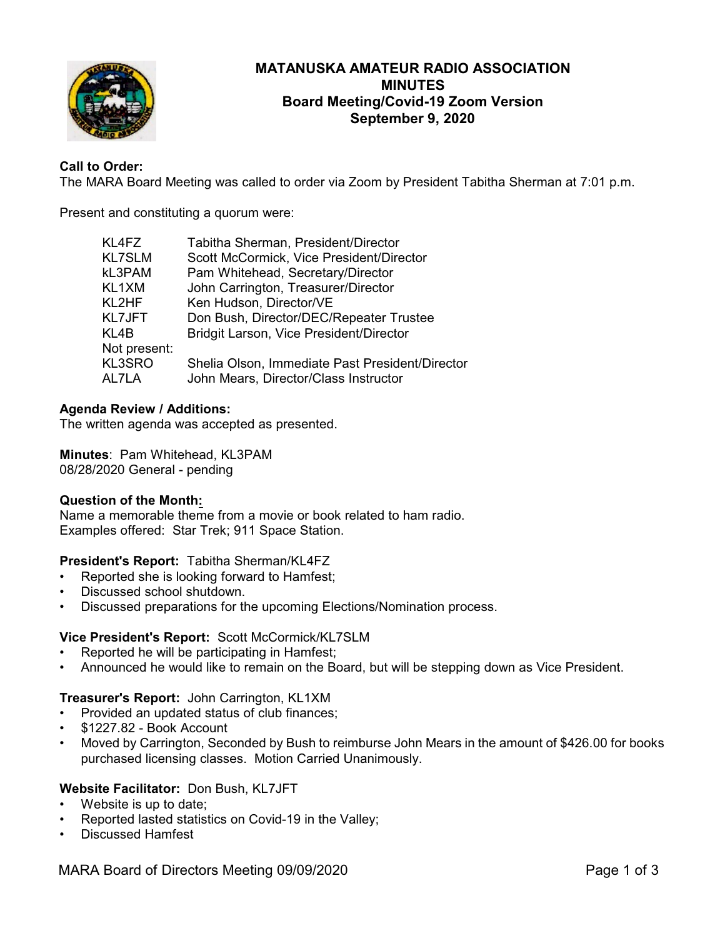

# **MATANUSKA AMATEUR RADIO ASSOCIATION MINUTES Board Meeting/Covid-19 Zoom Version September 9, 2020**

# **Call to Order:**

The MARA Board Meeting was called to order via Zoom by President Tabitha Sherman at 7:01 p.m.

Present and constituting a quorum were:

| KL4FZ           | Tabitha Sherman, President/Director                                                      |
|-----------------|------------------------------------------------------------------------------------------|
| <b>KL7SLM</b>   | Scott McCormick, Vice President/Director                                                 |
| kL3PAM          | Pam Whitehead, Secretary/Director                                                        |
| KL1XM           | John Carrington, Treasurer/Director                                                      |
| KL2HF           | Ken Hudson, Director/VE                                                                  |
| KL7JFT          | Don Bush, Director/DEC/Repeater Trustee                                                  |
| KL4B            | Bridgit Larson, Vice President/Director                                                  |
| Not present:    |                                                                                          |
| KL3SRO<br>AL7LA | Shelia Olson, Immediate Past President/Director<br>John Mears, Director/Class Instructor |
|                 |                                                                                          |

## **Agenda Review / Additions:**

The written agenda was accepted as presented.

**Minutes**: Pam Whitehead, KL3PAM 08/28/2020 General - pending

## **Question of the Month:**

Name a memorable theme from a movie or book related to ham radio. Examples offered: Star Trek; 911 Space Station.

## **President's Report:** Tabitha Sherman/KL4FZ

- Reported she is looking forward to Hamfest;
- Discussed school shutdown.
- Discussed preparations for the upcoming Elections/Nomination process.

## **Vice President's Report:** Scott McCormick/KL7SLM

- Reported he will be participating in Hamfest;
- Announced he would like to remain on the Board, but will be stepping down as Vice President.

## **Treasurer's Report:** John Carrington, KL1XM

- Provided an updated status of club finances;
- \$1227.82 Book Account
- Moved by Carrington, Seconded by Bush to reimburse John Mears in the amount of \$426.00 for books purchased licensing classes. Motion Carried Unanimously.

# **Website Facilitator:** Don Bush, KL7JFT

- Website is up to date:
- Reported lasted statistics on Covid-19 in the Valley;
- Discussed Hamfest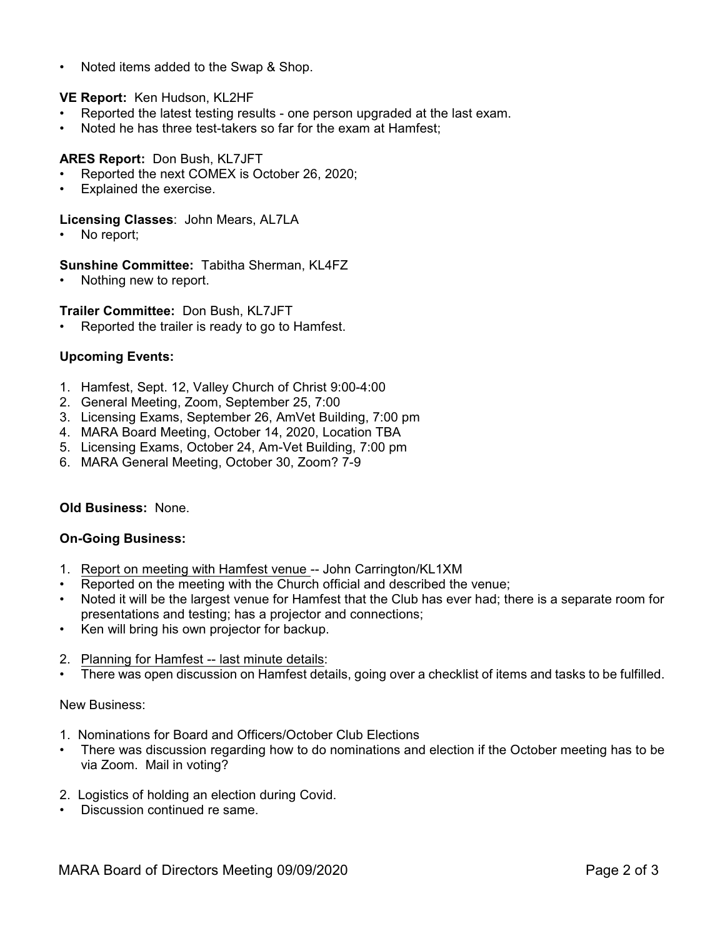• Noted items added to the Swap & Shop.

# **VE Report:** Ken Hudson, KL2HF

- Reported the latest testing results one person upgraded at the last exam.
- Noted he has three test-takers so far for the exam at Hamfest;

# **ARES Report:** Don Bush, KL7JFT

- Reported the next COMEX is October 26, 2020;
- Explained the exercise.

## **Licensing Classes**: John Mears, AL7LA

No report;

## **Sunshine Committee:** Tabitha Sherman, KL4FZ

Nothing new to report.

# **Trailer Committee:** Don Bush, KL7JFT

Reported the trailer is ready to go to Hamfest.

# **Upcoming Events:**

- 1. Hamfest, Sept. 12, Valley Church of Christ 9:00-4:00
- 2. General Meeting, Zoom, September 25, 7:00
- 3. Licensing Exams, September 26, AmVet Building, 7:00 pm
- 4. MARA Board Meeting, October 14, 2020, Location TBA
- 5. Licensing Exams, October 24, Am-Vet Building, 7:00 pm
- 6. MARA General Meeting, October 30, Zoom? 7-9

# **Old Business:** None.

## **On-Going Business:**

- 1. Report on meeting with Hamfest venue -- John Carrington/KL1XM
- Reported on the meeting with the Church official and described the venue;
- Noted it will be the largest venue for Hamfest that the Club has ever had; there is a separate room for presentations and testing; has a projector and connections;
- Ken will bring his own projector for backup.
- 2. Planning for Hamfest -- last minute details:
- There was open discussion on Hamfest details, going over a checklist of items and tasks to be fulfilled.

## New Business:

- 1. Nominations for Board and Officers/October Club Elections
- There was discussion regarding how to do nominations and election if the October meeting has to be via Zoom. Mail in voting?
- 2. Logistics of holding an election during Covid.
- Discussion continued re same.